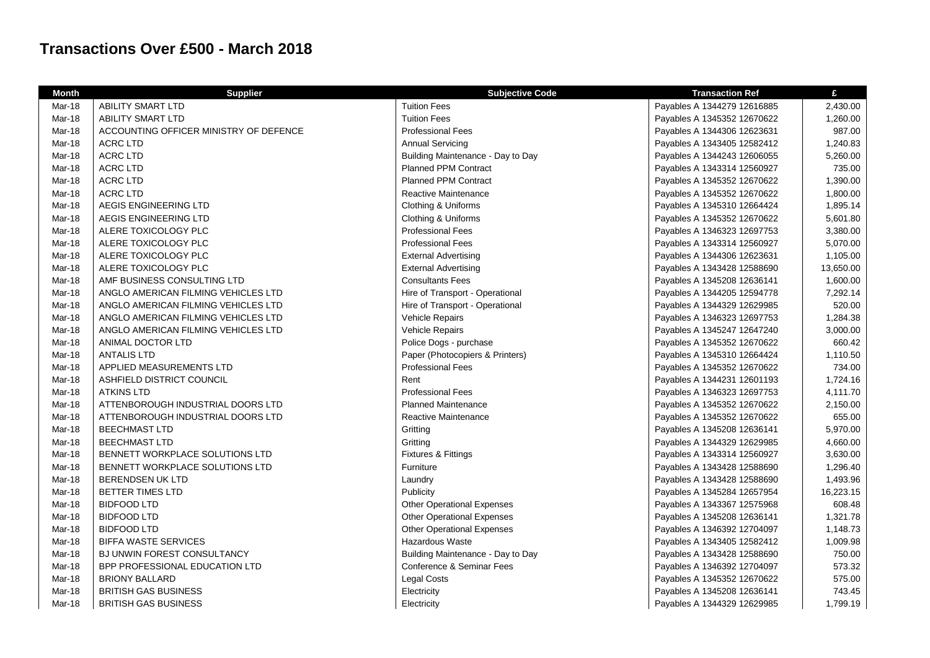## **Transactions Over £500 - March 2018**

| <b>Month</b>  | <b>Supplier</b>                        | <b>Subjective Code</b>            | <b>Transaction Ref</b>      | £         |
|---------------|----------------------------------------|-----------------------------------|-----------------------------|-----------|
| <b>Mar-18</b> | ABILITY SMART LTD                      | <b>Tuition Fees</b>               | Payables A 1344279 12616885 | 2,430.00  |
| Mar-18        | <b>ABILITY SMART LTD</b>               | <b>Tuition Fees</b>               | Payables A 1345352 12670622 | 1,260.00  |
| Mar-18        | ACCOUNTING OFFICER MINISTRY OF DEFENCE | <b>Professional Fees</b>          | Payables A 1344306 12623631 | 987.00    |
| Mar-18        | <b>ACRC LTD</b>                        | <b>Annual Servicing</b>           | Payables A 1343405 12582412 | 1,240.83  |
| Mar-18        | <b>ACRC LTD</b>                        | Building Maintenance - Day to Day | Payables A 1344243 12606055 | 5,260.00  |
| Mar-18        | <b>ACRC LTD</b>                        | <b>Planned PPM Contract</b>       | Payables A 1343314 12560927 | 735.00    |
| Mar-18        | <b>ACRC LTD</b>                        | <b>Planned PPM Contract</b>       | Payables A 1345352 12670622 | 1,390.00  |
| Mar-18        | <b>ACRC LTD</b>                        | Reactive Maintenance              | Payables A 1345352 12670622 | 1,800.00  |
| Mar-18        | AEGIS ENGINEERING LTD                  | Clothing & Uniforms               | Payables A 1345310 12664424 | 1,895.14  |
| Mar-18        | AEGIS ENGINEERING LTD                  | Clothing & Uniforms               | Payables A 1345352 12670622 | 5,601.80  |
| Mar-18        | ALERE TOXICOLOGY PLC                   | <b>Professional Fees</b>          | Payables A 1346323 12697753 | 3,380.00  |
| Mar-18        | ALERE TOXICOLOGY PLC                   | <b>Professional Fees</b>          | Payables A 1343314 12560927 | 5,070.00  |
| Mar-18        | ALERE TOXICOLOGY PLC                   | <b>External Advertising</b>       | Payables A 1344306 12623631 | 1,105.00  |
| Mar-18        | ALERE TOXICOLOGY PLC                   | <b>External Advertising</b>       | Payables A 1343428 12588690 | 13,650.00 |
| Mar-18        | AMF BUSINESS CONSULTING LTD            | <b>Consultants Fees</b>           | Payables A 1345208 12636141 | 1,600.00  |
| <b>Mar-18</b> | ANGLO AMERICAN FILMING VEHICLES LTD    | Hire of Transport - Operational   | Payables A 1344205 12594778 | 7,292.14  |
| Mar-18        | ANGLO AMERICAN FILMING VEHICLES LTD    | Hire of Transport - Operational   | Payables A 1344329 12629985 | 520.00    |
| <b>Mar-18</b> | ANGLO AMERICAN FILMING VEHICLES LTD    | Vehicle Repairs                   | Payables A 1346323 12697753 | 1,284.38  |
| <b>Mar-18</b> | ANGLO AMERICAN FILMING VEHICLES LTD    | Vehicle Repairs                   | Payables A 1345247 12647240 | 3,000.00  |
| Mar-18        | ANIMAL DOCTOR LTD                      | Police Dogs - purchase            | Payables A 1345352 12670622 | 660.42    |
| Mar-18        | <b>ANTALIS LTD</b>                     | Paper (Photocopiers & Printers)   | Payables A 1345310 12664424 | 1,110.50  |
| Mar-18        | APPLIED MEASUREMENTS LTD               | <b>Professional Fees</b>          | Payables A 1345352 12670622 | 734.00    |
| Mar-18        | ASHFIELD DISTRICT COUNCIL              | Rent                              | Payables A 1344231 12601193 | 1,724.16  |
| Mar-18        | <b>ATKINS LTD</b>                      | <b>Professional Fees</b>          | Payables A 1346323 12697753 | 4,111.70  |
| Mar-18        | ATTENBOROUGH INDUSTRIAL DOORS LTD      | <b>Planned Maintenance</b>        | Payables A 1345352 12670622 | 2,150.00  |
| Mar-18        | ATTENBOROUGH INDUSTRIAL DOORS LTD      | Reactive Maintenance              | Payables A 1345352 12670622 | 655.00    |
| Mar-18        | <b>BEECHMAST LTD</b>                   | Gritting                          | Payables A 1345208 12636141 | 5,970.00  |
| Mar-18        | <b>BEECHMAST LTD</b>                   | Gritting                          | Payables A 1344329 12629985 | 4,660.00  |
| Mar-18        | BENNETT WORKPLACE SOLUTIONS LTD        | Fixtures & Fittings               | Payables A 1343314 12560927 | 3,630.00  |
| Mar-18        | BENNETT WORKPLACE SOLUTIONS LTD        | Furniture                         | Payables A 1343428 12588690 | 1,296.40  |
| Mar-18        | <b>BERENDSEN UK LTD</b>                | Laundry                           | Payables A 1343428 12588690 | 1,493.96  |
| Mar-18        | <b>BETTER TIMES LTD</b>                | Publicity                         | Payables A 1345284 12657954 | 16,223.15 |
| <b>Mar-18</b> | <b>BIDFOOD LTD</b>                     | <b>Other Operational Expenses</b> | Payables A 1343367 12575968 | 608.48    |
| Mar-18        | <b>BIDFOOD LTD</b>                     | <b>Other Operational Expenses</b> | Payables A 1345208 12636141 | 1,321.78  |
| Mar-18        | <b>BIDFOOD LTD</b>                     | <b>Other Operational Expenses</b> | Payables A 1346392 12704097 | 1,148.73  |
| Mar-18        | <b>BIFFA WASTE SERVICES</b>            | Hazardous Waste                   | Payables A 1343405 12582412 | 1,009.98  |
| Mar-18        | BJ UNWIN FOREST CONSULTANCY            | Building Maintenance - Day to Day | Payables A 1343428 12588690 | 750.00    |
| Mar-18        | BPP PROFESSIONAL EDUCATION LTD         | Conference & Seminar Fees         | Payables A 1346392 12704097 | 573.32    |
| Mar-18        | <b>BRIONY BALLARD</b>                  | <b>Legal Costs</b>                | Payables A 1345352 12670622 | 575.00    |
| Mar-18        | <b>BRITISH GAS BUSINESS</b>            | Electricity                       | Payables A 1345208 12636141 | 743.45    |
| <b>Mar-18</b> | <b>BRITISH GAS BUSINESS</b>            | Electricity                       | Payables A 1344329 12629985 | 1,799.19  |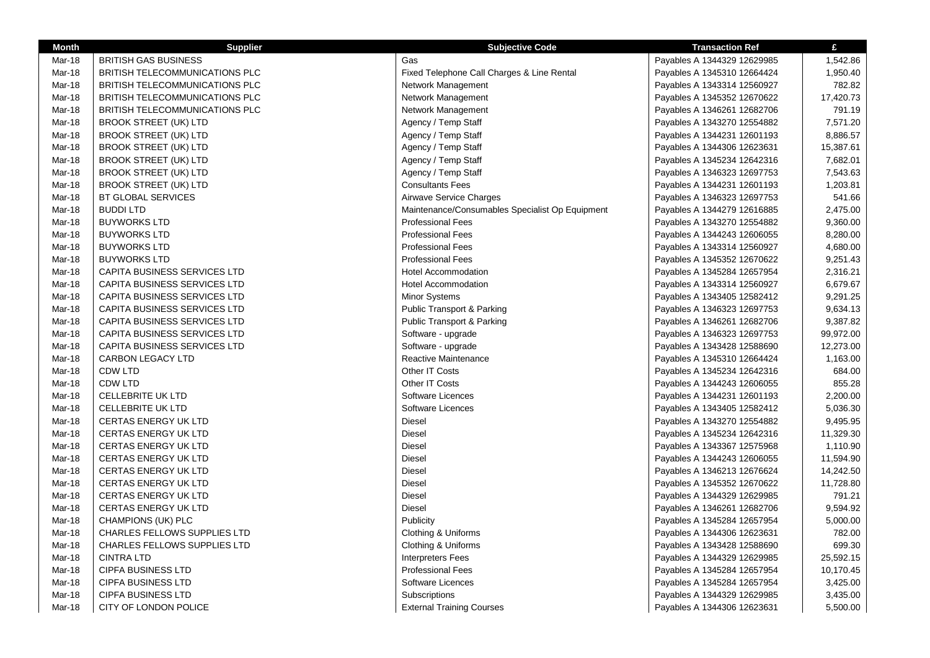| <b>Month</b>  | <b>Supplier</b>                     | <b>Subjective Code</b>                          | <b>Transaction Ref</b>      | £         |
|---------------|-------------------------------------|-------------------------------------------------|-----------------------------|-----------|
| Mar-18        | <b>BRITISH GAS BUSINESS</b>         | Gas                                             | Payables A 1344329 12629985 | 1,542.86  |
| Mar-18        | BRITISH TELECOMMUNICATIONS PLC      | Fixed Telephone Call Charges & Line Rental      | Payables A 1345310 12664424 | 1,950.40  |
| Mar-18        | BRITISH TELECOMMUNICATIONS PLC      | Network Management                              | Payables A 1343314 12560927 | 782.82    |
| Mar-18        | BRITISH TELECOMMUNICATIONS PLC      | Network Management                              | Payables A 1345352 12670622 | 17,420.73 |
| Mar-18        | BRITISH TELECOMMUNICATIONS PLC      | Network Management                              | Payables A 1346261 12682706 | 791.19    |
| Mar-18        | <b>BROOK STREET (UK) LTD</b>        | Agency / Temp Staff                             | Payables A 1343270 12554882 | 7,571.20  |
| Mar-18        | <b>BROOK STREET (UK) LTD</b>        | Agency / Temp Staff                             | Payables A 1344231 12601193 | 8,886.57  |
| Mar-18        | <b>BROOK STREET (UK) LTD</b>        | Agency / Temp Staff                             | Payables A 1344306 12623631 | 15,387.61 |
| <b>Mar-18</b> | <b>BROOK STREET (UK) LTD</b>        | Agency / Temp Staff                             | Payables A 1345234 12642316 | 7,682.01  |
| Mar-18        | <b>BROOK STREET (UK) LTD</b>        | Agency / Temp Staff                             | Payables A 1346323 12697753 | 7,543.63  |
| Mar-18        | <b>BROOK STREET (UK) LTD</b>        | <b>Consultants Fees</b>                         | Payables A 1344231 12601193 | 1,203.81  |
| Mar-18        | BT GLOBAL SERVICES                  | Airwave Service Charges                         | Payables A 1346323 12697753 | 541.66    |
| Mar-18        | <b>BUDDI LTD</b>                    | Maintenance/Consumables Specialist Op Equipment | Payables A 1344279 12616885 | 2,475.00  |
| Mar-18        | <b>BUYWORKS LTD</b>                 | <b>Professional Fees</b>                        | Payables A 1343270 12554882 | 9,360.00  |
| Mar-18        | <b>BUYWORKS LTD</b>                 | <b>Professional Fees</b>                        | Payables A 1344243 12606055 | 8,280.00  |
| Mar-18        | <b>BUYWORKS LTD</b>                 | <b>Professional Fees</b>                        | Payables A 1343314 12560927 | 4,680.00  |
| Mar-18        | <b>BUYWORKS LTD</b>                 | <b>Professional Fees</b>                        | Payables A 1345352 12670622 | 9,251.43  |
| Mar-18        | CAPITA BUSINESS SERVICES LTD        | <b>Hotel Accommodation</b>                      | Payables A 1345284 12657954 | 2,316.21  |
| Mar-18        | <b>CAPITA BUSINESS SERVICES LTD</b> | <b>Hotel Accommodation</b>                      | Payables A 1343314 12560927 | 6,679.67  |
| Mar-18        | CAPITA BUSINESS SERVICES LTD        | <b>Minor Systems</b>                            | Payables A 1343405 12582412 | 9,291.25  |
| Mar-18        | CAPITA BUSINESS SERVICES LTD        | <b>Public Transport &amp; Parking</b>           | Payables A 1346323 12697753 | 9,634.13  |
| Mar-18        | <b>CAPITA BUSINESS SERVICES LTD</b> | <b>Public Transport &amp; Parking</b>           | Payables A 1346261 12682706 | 9,387.82  |
| Mar-18        | CAPITA BUSINESS SERVICES LTD        | Software - upgrade                              | Payables A 1346323 12697753 | 99,972.00 |
| Mar-18        | CAPITA BUSINESS SERVICES LTD        | Software - upgrade                              | Payables A 1343428 12588690 | 12,273.00 |
| Mar-18        | <b>CARBON LEGACY LTD</b>            | Reactive Maintenance                            | Payables A 1345310 12664424 | 1,163.00  |
| <b>Mar-18</b> | <b>CDW LTD</b>                      | Other IT Costs                                  | Payables A 1345234 12642316 | 684.00    |
| Mar-18        | <b>CDW LTD</b>                      | Other IT Costs                                  | Payables A 1344243 12606055 | 855.28    |
| Mar-18        | <b>CELLEBRITE UK LTD</b>            | Software Licences                               | Payables A 1344231 12601193 | 2,200.00  |
| Mar-18        | <b>CELLEBRITE UK LTD</b>            | Software Licences                               | Payables A 1343405 12582412 | 5,036.30  |
| Mar-18        | <b>CERTAS ENERGY UK LTD</b>         | Diesel                                          | Payables A 1343270 12554882 | 9,495.95  |
| Mar-18        | <b>CERTAS ENERGY UK LTD</b>         | <b>Diesel</b>                                   | Payables A 1345234 12642316 | 11,329.30 |
| Mar-18        | <b>CERTAS ENERGY UK LTD</b>         | Diesel                                          | Payables A 1343367 12575968 | 1,110.90  |
| Mar-18        | <b>CERTAS ENERGY UK LTD</b>         | <b>Diesel</b>                                   | Payables A 1344243 12606055 | 11,594.90 |
| Mar-18        | <b>CERTAS ENERGY UK LTD</b>         | Diesel                                          | Payables A 1346213 12676624 | 14,242.50 |
| Mar-18        | <b>CERTAS ENERGY UK LTD</b>         | <b>Diesel</b>                                   | Payables A 1345352 12670622 | 11,728.80 |
| Mar-18        | <b>CERTAS ENERGY UK LTD</b>         | <b>Diesel</b>                                   | Payables A 1344329 12629985 | 791.21    |
| Mar-18        | <b>CERTAS ENERGY UK LTD</b>         | Diesel                                          | Payables A 1346261 12682706 | 9,594.92  |
| Mar-18        | CHAMPIONS (UK) PLC                  | Publicity                                       | Payables A 1345284 12657954 | 5,000.00  |
| <b>Mar-18</b> | <b>CHARLES FELLOWS SUPPLIES LTD</b> | Clothing & Uniforms                             | Payables A 1344306 12623631 | 782.00    |
| Mar-18        | CHARLES FELLOWS SUPPLIES LTD        | Clothing & Uniforms                             | Payables A 1343428 12588690 | 699.30    |
| Mar-18        | <b>CINTRA LTD</b>                   | <b>Interpreters Fees</b>                        | Payables A 1344329 12629985 | 25,592.15 |
| Mar-18        | <b>CIPFA BUSINESS LTD</b>           | <b>Professional Fees</b>                        | Payables A 1345284 12657954 | 10,170.45 |
| Mar-18        | <b>CIPFA BUSINESS LTD</b>           | Software Licences                               | Payables A 1345284 12657954 | 3,425.00  |
| Mar-18        | <b>CIPFA BUSINESS LTD</b>           | Subscriptions                                   | Payables A 1344329 12629985 | 3,435.00  |
| Mar-18        | CITY OF LONDON POLICE               | <b>External Training Courses</b>                | Payables A 1344306 12623631 | 5,500.00  |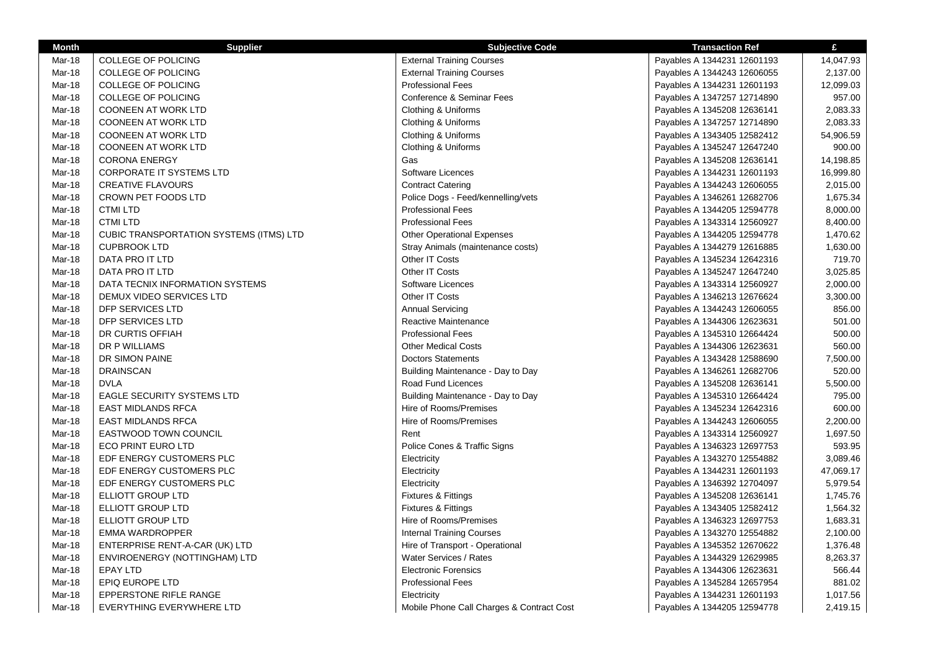| <b>Month</b>  | <b>Supplier</b>                         | <b>Subjective Code</b>                    | <b>Transaction Ref</b>      | £         |
|---------------|-----------------------------------------|-------------------------------------------|-----------------------------|-----------|
| Mar-18        | <b>COLLEGE OF POLICING</b>              | <b>External Training Courses</b>          | Payables A 1344231 12601193 | 14,047.93 |
| Mar-18        | <b>COLLEGE OF POLICING</b>              | <b>External Training Courses</b>          | Payables A 1344243 12606055 | 2,137.00  |
| Mar-18        | <b>COLLEGE OF POLICING</b>              | <b>Professional Fees</b>                  | Payables A 1344231 12601193 | 12,099.03 |
| Mar-18        | <b>COLLEGE OF POLICING</b>              | Conference & Seminar Fees                 | Payables A 1347257 12714890 | 957.00    |
| <b>Mar-18</b> | <b>COONEEN AT WORK LTD</b>              | Clothing & Uniforms                       | Payables A 1345208 12636141 | 2,083.33  |
| Mar-18        | COONEEN AT WORK LTD                     | Clothing & Uniforms                       | Payables A 1347257 12714890 | 2,083.33  |
| Mar-18        | <b>COONEEN AT WORK LTD</b>              | Clothing & Uniforms                       | Payables A 1343405 12582412 | 54,906.59 |
| Mar-18        | COONEEN AT WORK LTD                     | Clothing & Uniforms                       | Payables A 1345247 12647240 | 900.00    |
| <b>Mar-18</b> | <b>CORONA ENERGY</b>                    | Gas                                       | Payables A 1345208 12636141 | 14,198.85 |
| Mar-18        | <b>CORPORATE IT SYSTEMS LTD</b>         | Software Licences                         | Payables A 1344231 12601193 | 16,999.80 |
| Mar-18        | <b>CREATIVE FLAVOURS</b>                | <b>Contract Catering</b>                  | Payables A 1344243 12606055 | 2,015.00  |
| Mar-18        | CROWN PET FOODS LTD                     | Police Dogs - Feed/kennelling/vets        | Payables A 1346261 12682706 | 1,675.34  |
| Mar-18        | <b>CTMI LTD</b>                         | <b>Professional Fees</b>                  | Payables A 1344205 12594778 | 8,000.00  |
| <b>Mar-18</b> | <b>CTMI LTD</b>                         | <b>Professional Fees</b>                  | Payables A 1343314 12560927 | 8,400.00  |
| Mar-18        | CUBIC TRANSPORTATION SYSTEMS (ITMS) LTD | <b>Other Operational Expenses</b>         | Payables A 1344205 12594778 | 1,470.62  |
| Mar-18        | <b>CUPBROOK LTD</b>                     | Stray Animals (maintenance costs)         | Payables A 1344279 12616885 | 1,630.00  |
| Mar-18        | DATA PRO IT LTD                         | Other IT Costs                            | Payables A 1345234 12642316 | 719.70    |
| Mar-18        | DATA PRO IT LTD                         | Other IT Costs                            | Payables A 1345247 12647240 | 3,025.85  |
| Mar-18        | DATA TECNIX INFORMATION SYSTEMS         | Software Licences                         | Payables A 1343314 12560927 | 2,000.00  |
| Mar-18        | DEMUX VIDEO SERVICES LTD                | Other IT Costs                            | Payables A 1346213 12676624 | 3,300.00  |
| Mar-18        | DFP SERVICES LTD                        | Annual Servicing                          | Payables A 1344243 12606055 | 856.00    |
| Mar-18        | DFP SERVICES LTD                        | Reactive Maintenance                      | Payables A 1344306 12623631 | 501.00    |
| Mar-18        | DR CURTIS OFFIAH                        | <b>Professional Fees</b>                  | Payables A 1345310 12664424 | 500.00    |
| Mar-18        | DR P WILLIAMS                           | <b>Other Medical Costs</b>                | Payables A 1344306 12623631 | 560.00    |
| Mar-18        | DR SIMON PAINE                          | <b>Doctors Statements</b>                 | Payables A 1343428 12588690 | 7,500.00  |
| Mar-18        | <b>DRAINSCAN</b>                        | Building Maintenance - Day to Day         | Payables A 1346261 12682706 | 520.00    |
| Mar-18        | <b>DVLA</b>                             | Road Fund Licences                        | Payables A 1345208 12636141 | 5,500.00  |
| Mar-18        | <b>EAGLE SECURITY SYSTEMS LTD</b>       | Building Maintenance - Day to Day         | Payables A 1345310 12664424 | 795.00    |
| Mar-18        | <b>EAST MIDLANDS RFCA</b>               | Hire of Rooms/Premises                    | Payables A 1345234 12642316 | 600.00    |
| Mar-18        | <b>EAST MIDLANDS RFCA</b>               | Hire of Rooms/Premises                    | Payables A 1344243 12606055 | 2,200.00  |
| Mar-18        | <b>EASTWOOD TOWN COUNCIL</b>            | Rent                                      | Payables A 1343314 12560927 | 1,697.50  |
| Mar-18        | <b>ECO PRINT EURO LTD</b>               | Police Cones & Traffic Signs              | Payables A 1346323 12697753 | 593.95    |
| Mar-18        | EDF ENERGY CUSTOMERS PLC                | Electricity                               | Payables A 1343270 12554882 | 3,089.46  |
| Mar-18        | EDF ENERGY CUSTOMERS PLC                | Electricity                               | Payables A 1344231 12601193 | 47,069.17 |
| Mar-18        | EDF ENERGY CUSTOMERS PLC                | Electricity                               | Payables A 1346392 12704097 | 5,979.54  |
| Mar-18        | <b>ELLIOTT GROUP LTD</b>                | Fixtures & Fittings                       | Payables A 1345208 12636141 | 1,745.76  |
| Mar-18        | <b>ELLIOTT GROUP LTD</b>                | <b>Fixtures &amp; Fittings</b>            | Payables A 1343405 12582412 | 1,564.32  |
| Mar-18        | ELLIOTT GROUP LTD                       | Hire of Rooms/Premises                    | Payables A 1346323 12697753 | 1,683.31  |
| Mar-18        | EMMA WARDROPPER                         | Internal Training Courses                 | Payables A 1343270 12554882 | 2,100.00  |
| <b>Mar-18</b> | ENTERPRISE RENT-A-CAR (UK) LTD          | Hire of Transport - Operational           | Payables A 1345352 12670622 | 1,376.48  |
| Mar-18        | ENVIROENERGY (NOTTINGHAM) LTD           | Water Services / Rates                    | Payables A 1344329 12629985 | 8,263.37  |
| Mar-18        | EPAY LTD                                | <b>Electronic Forensics</b>               | Payables A 1344306 12623631 | 566.44    |
| Mar-18        | EPIQ EUROPE LTD                         | <b>Professional Fees</b>                  | Payables A 1345284 12657954 | 881.02    |
| Mar-18        | EPPERSTONE RIFLE RANGE                  | Electricity                               | Payables A 1344231 12601193 | 1,017.56  |
| Mar-18        | <b>EVERYTHING EVERYWHERE LTD</b>        | Mobile Phone Call Charges & Contract Cost | Payables A 1344205 12594778 | 2,419.15  |
|               |                                         |                                           |                             |           |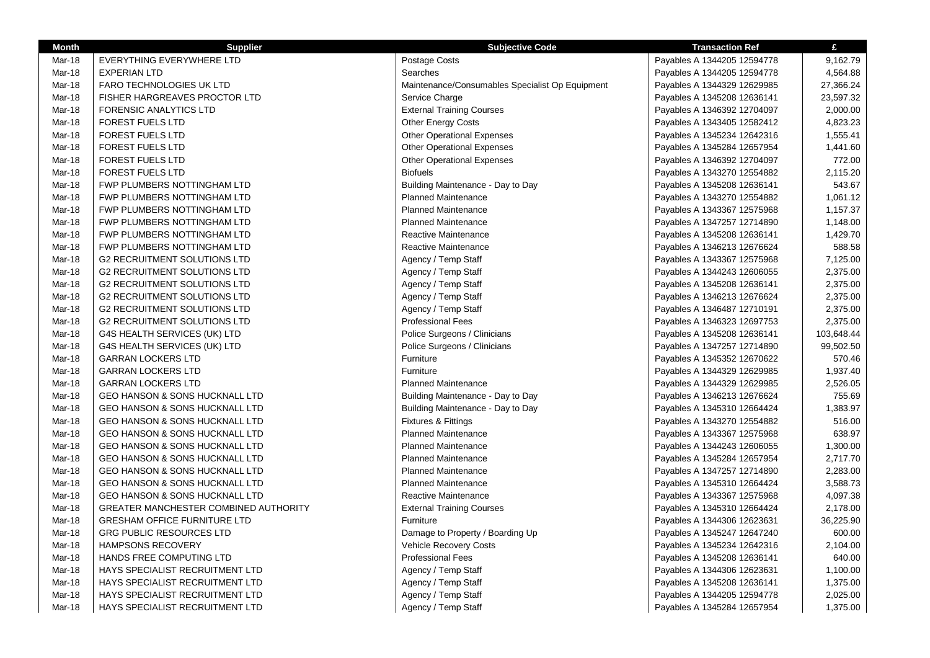| <b>Month</b>  | <b>Supplier</b>                           | <b>Subjective Code</b>                          | <b>Transaction Ref</b>      | £          |
|---------------|-------------------------------------------|-------------------------------------------------|-----------------------------|------------|
| Mar-18        | EVERYTHING EVERYWHERE LTD                 | Postage Costs                                   | Payables A 1344205 12594778 | 9,162.79   |
| Mar-18        | <b>EXPERIAN LTD</b>                       | Searches                                        | Payables A 1344205 12594778 | 4,564.88   |
| Mar-18        | <b>FARO TECHNOLOGIES UK LTD</b>           | Maintenance/Consumables Specialist Op Equipment | Payables A 1344329 12629985 | 27,366.24  |
| Mar-18        | FISHER HARGREAVES PROCTOR LTD             | Service Charge                                  | Payables A 1345208 12636141 | 23,597.32  |
| Mar-18        | FORENSIC ANALYTICS LTD                    | <b>External Training Courses</b>                | Payables A 1346392 12704097 | 2,000.00   |
| Mar-18        | <b>FOREST FUELS LTD</b>                   | <b>Other Energy Costs</b>                       | Payables A 1343405 12582412 | 4,823.23   |
| Mar-18        | <b>FOREST FUELS LTD</b>                   | <b>Other Operational Expenses</b>               | Payables A 1345234 12642316 | 1,555.41   |
| Mar-18        | <b>FOREST FUELS LTD</b>                   | <b>Other Operational Expenses</b>               | Payables A 1345284 12657954 | 1,441.60   |
| Mar-18        | <b>FOREST FUELS LTD</b>                   | <b>Other Operational Expenses</b>               | Payables A 1346392 12704097 | 772.00     |
| Mar-18        | <b>FOREST FUELS LTD</b>                   | <b>Biofuels</b>                                 | Payables A 1343270 12554882 | 2,115.20   |
| Mar-18        | FWP PLUMBERS NOTTINGHAM LTD               | Building Maintenance - Day to Day               | Payables A 1345208 12636141 | 543.67     |
| Mar-18        | FWP PLUMBERS NOTTINGHAM LTD               | <b>Planned Maintenance</b>                      | Payables A 1343270 12554882 | 1,061.12   |
| Mar-18        | FWP PLUMBERS NOTTINGHAM LTD               | <b>Planned Maintenance</b>                      | Payables A 1343367 12575968 | 1,157.37   |
| Mar-18        | FWP PLUMBERS NOTTINGHAM LTD               | <b>Planned Maintenance</b>                      | Payables A 1347257 12714890 | 1,148.00   |
| Mar-18        | FWP PLUMBERS NOTTINGHAM LTD               | Reactive Maintenance                            | Payables A 1345208 12636141 | 1,429.70   |
| Mar-18        | FWP PLUMBERS NOTTINGHAM LTD               | <b>Reactive Maintenance</b>                     | Payables A 1346213 12676624 | 588.58     |
| Mar-18        | <b>G2 RECRUITMENT SOLUTIONS LTD</b>       | Agency / Temp Staff                             | Payables A 1343367 12575968 | 7,125.00   |
| Mar-18        | <b>G2 RECRUITMENT SOLUTIONS LTD</b>       | Agency / Temp Staff                             | Payables A 1344243 12606055 | 2,375.00   |
| Mar-18        | <b>G2 RECRUITMENT SOLUTIONS LTD</b>       | Agency / Temp Staff                             | Payables A 1345208 12636141 | 2,375.00   |
| Mar-18        | <b>G2 RECRUITMENT SOLUTIONS LTD</b>       | Agency / Temp Staff                             | Payables A 1346213 12676624 | 2,375.00   |
| Mar-18        | <b>G2 RECRUITMENT SOLUTIONS LTD</b>       | Agency / Temp Staff                             | Payables A 1346487 12710191 | 2,375.00   |
| Mar-18        | <b>G2 RECRUITMENT SOLUTIONS LTD</b>       | <b>Professional Fees</b>                        | Payables A 1346323 12697753 | 2,375.00   |
| Mar-18        | G4S HEALTH SERVICES (UK) LTD              | Police Surgeons / Clinicians                    | Payables A 1345208 12636141 | 103,648.44 |
| Mar-18        | G4S HEALTH SERVICES (UK) LTD              | Police Surgeons / Clinicians                    | Payables A 1347257 12714890 | 99,502.50  |
| Mar-18        | <b>GARRAN LOCKERS LTD</b>                 | Furniture                                       | Payables A 1345352 12670622 | 570.46     |
| Mar-18        | <b>GARRAN LOCKERS LTD</b>                 | Furniture                                       | Payables A 1344329 12629985 | 1,937.40   |
| <b>Mar-18</b> | <b>GARRAN LOCKERS LTD</b>                 | <b>Planned Maintenance</b>                      | Payables A 1344329 12629985 | 2,526.05   |
| Mar-18        | <b>GEO HANSON &amp; SONS HUCKNALL LTD</b> | Building Maintenance - Day to Day               | Payables A 1346213 12676624 | 755.69     |
| Mar-18        | <b>GEO HANSON &amp; SONS HUCKNALL LTD</b> | Building Maintenance - Day to Day               | Payables A 1345310 12664424 | 1,383.97   |
| Mar-18        | <b>GEO HANSON &amp; SONS HUCKNALL LTD</b> | Fixtures & Fittings                             | Payables A 1343270 12554882 | 516.00     |
| Mar-18        | GEO HANSON & SONS HUCKNALL LTD            | <b>Planned Maintenance</b>                      | Payables A 1343367 12575968 | 638.97     |
| <b>Mar-18</b> | GEO HANSON & SONS HUCKNALL LTD            | <b>Planned Maintenance</b>                      | Payables A 1344243 12606055 | 1,300.00   |
| Mar-18        | <b>GEO HANSON &amp; SONS HUCKNALL LTD</b> | <b>Planned Maintenance</b>                      | Payables A 1345284 12657954 | 2,717.70   |
| Mar-18        | <b>GEO HANSON &amp; SONS HUCKNALL LTD</b> | <b>Planned Maintenance</b>                      | Payables A 1347257 12714890 | 2,283.00   |
| Mar-18        | <b>GEO HANSON &amp; SONS HUCKNALL LTD</b> | <b>Planned Maintenance</b>                      | Payables A 1345310 12664424 | 3,588.73   |
| Mar-18        | <b>GEO HANSON &amp; SONS HUCKNALL LTD</b> | Reactive Maintenance                            | Payables A 1343367 12575968 | 4,097.38   |
| Mar-18        | GREATER MANCHESTER COMBINED AUTHORITY     | <b>External Training Courses</b>                | Payables A 1345310 12664424 | 2,178.00   |
| Mar-18        | <b>GRESHAM OFFICE FURNITURE LTD</b>       | Furniture                                       | Payables A 1344306 12623631 | 36,225.90  |
| Mar-18        | <b>GRG PUBLIC RESOURCES LTD</b>           | Damage to Property / Boarding Up                | Payables A 1345247 12647240 | 600.00     |
| Mar-18        | <b>HAMPSONS RECOVERY</b>                  | Vehicle Recovery Costs                          | Payables A 1345234 12642316 | 2,104.00   |
| Mar-18        | HANDS FREE COMPUTING LTD                  | <b>Professional Fees</b>                        | Payables A 1345208 12636141 | 640.00     |
| <b>Mar-18</b> | HAYS SPECIALIST RECRUITMENT LTD           | Agency / Temp Staff                             | Payables A 1344306 12623631 | 1,100.00   |
| Mar-18        | HAYS SPECIALIST RECRUITMENT LTD           | Agency / Temp Staff                             | Payables A 1345208 12636141 | 1,375.00   |
| Mar-18        | HAYS SPECIALIST RECRUITMENT LTD           | Agency / Temp Staff                             | Payables A 1344205 12594778 | 2,025.00   |
| Mar-18        | HAYS SPECIALIST RECRUITMENT LTD           | Agency / Temp Staff                             | Payables A 1345284 12657954 | 1,375.00   |
|               |                                           |                                                 |                             |            |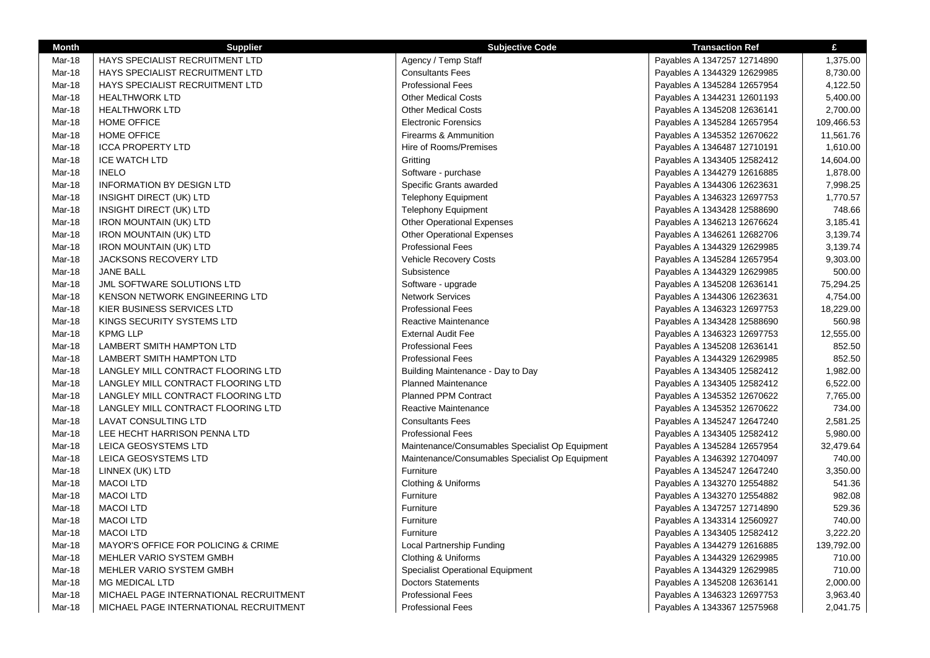| Month         | <b>Supplier</b>                        | <b>Subjective Code</b>                          | <b>Transaction Ref</b>      | £          |
|---------------|----------------------------------------|-------------------------------------------------|-----------------------------|------------|
| Mar-18        | HAYS SPECIALIST RECRUITMENT LTD        | Agency / Temp Staff                             | Payables A 1347257 12714890 | 1,375.00   |
| Mar-18        | HAYS SPECIALIST RECRUITMENT LTD        | <b>Consultants Fees</b>                         | Payables A 1344329 12629985 | 8,730.00   |
| Mar-18        | HAYS SPECIALIST RECRUITMENT LTD        | <b>Professional Fees</b>                        | Payables A 1345284 12657954 | 4,122.50   |
| Mar-18        | <b>HEALTHWORK LTD</b>                  | <b>Other Medical Costs</b>                      | Payables A 1344231 12601193 | 5,400.00   |
| Mar-18        | <b>HEALTHWORK LTD</b>                  | <b>Other Medical Costs</b>                      | Payables A 1345208 12636141 | 2,700.00   |
| Mar-18        | <b>HOME OFFICE</b>                     | <b>Electronic Forensics</b>                     | Payables A 1345284 12657954 | 109,466.53 |
| Mar-18        | <b>HOME OFFICE</b>                     | <b>Firearms &amp; Ammunition</b>                | Payables A 1345352 12670622 | 11,561.76  |
| Mar-18        | <b>ICCA PROPERTY LTD</b>               | Hire of Rooms/Premises                          | Payables A 1346487 12710191 | 1,610.00   |
| <b>Mar-18</b> | <b>ICE WATCH LTD</b>                   | Gritting                                        | Payables A 1343405 12582412 | 14,604.00  |
| Mar-18        | <b>INELO</b>                           | Software - purchase                             | Payables A 1344279 12616885 | 1,878.00   |
| Mar-18        | <b>INFORMATION BY DESIGN LTD</b>       | Specific Grants awarded                         | Payables A 1344306 12623631 | 7,998.25   |
| Mar-18        | INSIGHT DIRECT (UK) LTD                | <b>Telephony Equipment</b>                      | Payables A 1346323 12697753 | 1,770.57   |
| <b>Mar-18</b> | INSIGHT DIRECT (UK) LTD                | <b>Telephony Equipment</b>                      | Payables A 1343428 12588690 | 748.66     |
| Mar-18        | <b>IRON MOUNTAIN (UK) LTD</b>          | <b>Other Operational Expenses</b>               | Payables A 1346213 12676624 | 3,185.41   |
| Mar-18        | <b>IRON MOUNTAIN (UK) LTD</b>          | <b>Other Operational Expenses</b>               | Payables A 1346261 12682706 | 3,139.74   |
| Mar-18        | <b>IRON MOUNTAIN (UK) LTD</b>          | <b>Professional Fees</b>                        | Payables A 1344329 12629985 | 3,139.74   |
| Mar-18        | <b>JACKSONS RECOVERY LTD</b>           | Vehicle Recovery Costs                          | Payables A 1345284 12657954 | 9,303.00   |
| Mar-18        | <b>JANE BALL</b>                       | Subsistence                                     | Payables A 1344329 12629985 | 500.00     |
| Mar-18        | JML SOFTWARE SOLUTIONS LTD             | Software - upgrade                              | Payables A 1345208 12636141 | 75,294.25  |
| Mar-18        | KENSON NETWORK ENGINEERING LTD         | <b>Network Services</b>                         | Payables A 1344306 12623631 | 4,754.00   |
| Mar-18        | KIER BUSINESS SERVICES LTD             | <b>Professional Fees</b>                        | Payables A 1346323 12697753 | 18,229.00  |
| <b>Mar-18</b> | KINGS SECURITY SYSTEMS LTD             | Reactive Maintenance                            | Payables A 1343428 12588690 | 560.98     |
| Mar-18        | <b>KPMG LLP</b>                        | <b>External Audit Fee</b>                       | Payables A 1346323 12697753 | 12,555.00  |
| Mar-18        | LAMBERT SMITH HAMPTON LTD              | <b>Professional Fees</b>                        | Payables A 1345208 12636141 | 852.50     |
| Mar-18        | LAMBERT SMITH HAMPTON LTD              | <b>Professional Fees</b>                        | Payables A 1344329 12629985 | 852.50     |
| Mar-18        | LANGLEY MILL CONTRACT FLOORING LTD     | Building Maintenance - Day to Day               | Payables A 1343405 12582412 | 1,982.00   |
| <b>Mar-18</b> | LANGLEY MILL CONTRACT FLOORING LTD     | <b>Planned Maintenance</b>                      | Payables A 1343405 12582412 | 6,522.00   |
| Mar-18        | LANGLEY MILL CONTRACT FLOORING LTD     | <b>Planned PPM Contract</b>                     | Payables A 1345352 12670622 | 7,765.00   |
| Mar-18        | LANGLEY MILL CONTRACT FLOORING LTD     | <b>Reactive Maintenance</b>                     | Payables A 1345352 12670622 | 734.00     |
| Mar-18        | LAVAT CONSULTING LTD                   | <b>Consultants Fees</b>                         | Payables A 1345247 12647240 | 2,581.25   |
| Mar-18        | LEE HECHT HARRISON PENNA LTD           | <b>Professional Fees</b>                        | Payables A 1343405 12582412 | 5,980.00   |
| <b>Mar-18</b> | LEICA GEOSYSTEMS LTD                   | Maintenance/Consumables Specialist Op Equipment | Payables A 1345284 12657954 | 32,479.64  |
| Mar-18        | LEICA GEOSYSTEMS LTD                   | Maintenance/Consumables Specialist Op Equipment | Payables A 1346392 12704097 | 740.00     |
| Mar-18        | LINNEX (UK) LTD                        | Furniture                                       | Payables A 1345247 12647240 | 3,350.00   |
| Mar-18        | <b>MACOI LTD</b>                       | Clothing & Uniforms                             | Payables A 1343270 12554882 | 541.36     |
| Mar-18        | <b>MACOI LTD</b>                       | Furniture                                       | Payables A 1343270 12554882 | 982.08     |
| <b>Mar-18</b> | <b>MACOI LTD</b>                       | Furniture                                       | Payables A 1347257 12714890 | 529.36     |
| Mar-18        | <b>MACOI LTD</b>                       | Furniture                                       | Payables A 1343314 12560927 | 740.00     |
| Mar-18        | <b>MACOI LTD</b>                       | Furniture                                       | Payables A 1343405 12582412 | 3,222.20   |
| Mar-18        | MAYOR'S OFFICE FOR POLICING & CRIME    | Local Partnership Funding                       | Payables A 1344279 12616885 | 139,792.00 |
| Mar-18        | MEHLER VARIO SYSTEM GMBH               | Clothing & Uniforms                             | Payables A 1344329 12629985 | 710.00     |
| Mar-18        | MEHLER VARIO SYSTEM GMBH               | <b>Specialist Operational Equipment</b>         | Payables A 1344329 12629985 | 710.00     |
| <b>Mar-18</b> | <b>MG MEDICAL LTD</b>                  | <b>Doctors Statements</b>                       | Payables A 1345208 12636141 | 2,000.00   |
| Mar-18        | MICHAEL PAGE INTERNATIONAL RECRUITMENT | <b>Professional Fees</b>                        | Payables A 1346323 12697753 | 3,963.40   |
| Mar-18        | MICHAEL PAGE INTERNATIONAL RECRUITMENT | <b>Professional Fees</b>                        | Payables A 1343367 12575968 | 2,041.75   |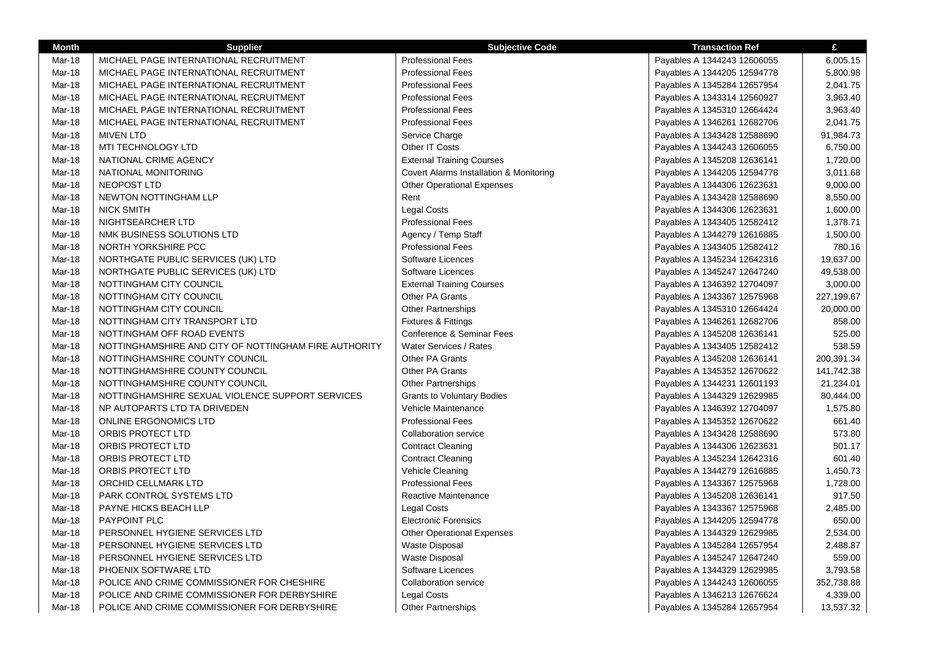| <b>Month</b> | <b>Supplier</b>                                       | <b>Subjective Code</b>                  | <b>Transaction Ref</b>      | £          |
|--------------|-------------------------------------------------------|-----------------------------------------|-----------------------------|------------|
| Mar-18       | MICHAEL PAGE INTERNATIONAL RECRUITMENT                | <b>Professional Fees</b>                | Payables A 1344243 12606055 | 6,005.15   |
| Mar-18       | MICHAEL PAGE INTERNATIONAL RECRUITMENT                | <b>Professional Fees</b>                | Payables A 1344205 12594778 | 5,800.98   |
| Mar-18       | MICHAEL PAGE INTERNATIONAL RECRUITMENT                | <b>Professional Fees</b>                | Payables A 1345284 12657954 | 2,041.75   |
| Mar-18       | MICHAEL PAGE INTERNATIONAL RECRUITMENT                | <b>Professional Fees</b>                | Payables A 1343314 12560927 | 3,963.40   |
| Mar-18       | MICHAEL PAGE INTERNATIONAL RECRUITMENT                | <b>Professional Fees</b>                | Payables A 1345310 12664424 | 3,963.40   |
| Mar-18       | MICHAEL PAGE INTERNATIONAL RECRUITMENT                | <b>Professional Fees</b>                | Payables A 1346261 12682706 | 2,041.75   |
| Mar-18       | <b>MIVEN LTD</b>                                      | Service Charge                          | Payables A 1343428 12588690 | 91,984.73  |
| Mar-18       | MTI TECHNOLOGY LTD                                    | Other IT Costs                          | Payables A 1344243 12606055 | 6,750.00   |
| Mar-18       | NATIONAL CRIME AGENCY                                 | <b>External Training Courses</b>        | Payables A 1345208 12636141 | 1,720.00   |
| Mar-18       | NATIONAL MONITORING                                   | Covert Alarms Installation & Monitoring | Payables A 1344205 12594778 | 3,011.68   |
| Mar-18       | NEOPOST LTD                                           | <b>Other Operational Expenses</b>       | Payables A 1344306 12623631 | 9,000.00   |
| Mar-18       | NEWTON NOTTINGHAM LLP                                 | Rent                                    | Payables A 1343428 12588690 | 8,550.00   |
| Mar-18       | <b>NICK SMITH</b>                                     | <b>Legal Costs</b>                      | Payables A 1344306 12623631 | 1,600.00   |
| Mar-18       | NIGHTSEARCHER LTD                                     | <b>Professional Fees</b>                | Payables A 1343405 12582412 | 1,378.71   |
| Mar-18       | NMK BUSINESS SOLUTIONS LTD                            | Agency / Temp Staff                     | Payables A 1344279 12616885 | 1,500.00   |
| Mar-18       | NORTH YORKSHIRE PCC                                   | <b>Professional Fees</b>                | Payables A 1343405 12582412 | 780.16     |
| Mar-18       | NORTHGATE PUBLIC SERVICES (UK) LTD                    | Software Licences                       | Payables A 1345234 12642316 | 19,637.00  |
| Mar-18       | NORTHGATE PUBLIC SERVICES (UK) LTD                    | Software Licences                       | Payables A 1345247 12647240 | 49,538.00  |
| Mar-18       | NOTTINGHAM CITY COUNCIL                               | <b>External Training Courses</b>        | Payables A 1346392 12704097 | 3,000.00   |
| Mar-18       | NOTTINGHAM CITY COUNCIL                               | Other PA Grants                         | Payables A 1343367 12575968 | 227,199.67 |
| Mar-18       | NOTTINGHAM CITY COUNCIL                               | <b>Other Partnerships</b>               | Payables A 1345310 12664424 | 20,000.00  |
| Mar-18       | NOTTINGHAM CITY TRANSPORT LTD                         | Fixtures & Fittings                     | Payables A 1346261 12682706 | 858.00     |
| Mar-18       | NOTTINGHAM OFF ROAD EVENTS                            | Conference & Seminar Fees               | Payables A 1345208 12636141 | 525.00     |
| Mar-18       | NOTTINGHAMSHIRE AND CITY OF NOTTINGHAM FIRE AUTHORITY | Water Services / Rates                  | Payables A 1343405 12582412 | 538.59     |
| Mar-18       | NOTTINGHAMSHIRE COUNTY COUNCIL                        | Other PA Grants                         | Payables A 1345208 12636141 | 200,391.34 |
| Mar-18       | NOTTINGHAMSHIRE COUNTY COUNCIL                        | <b>Other PA Grants</b>                  | Payables A 1345352 12670622 | 141,742.38 |
| Mar-18       | NOTTINGHAMSHIRE COUNTY COUNCIL                        | <b>Other Partnerships</b>               | Payables A 1344231 12601193 | 21,234.01  |
| Mar-18       | NOTTINGHAMSHIRE SEXUAL VIOLENCE SUPPORT SERVICES      | <b>Grants to Voluntary Bodies</b>       | Payables A 1344329 12629985 | 80,444.00  |
| Mar-18       | NP AUTOPARTS LTD TA DRIVEDEN                          | Vehicle Maintenance                     | Payables A 1346392 12704097 | 1,575.80   |
| Mar-18       | <b>ONLINE ERGONOMICS LTD</b>                          | <b>Professional Fees</b>                | Payables A 1345352 12670622 | 661.40     |
| Mar-18       | ORBIS PROTECT LTD                                     | <b>Collaboration service</b>            | Payables A 1343428 12588690 | 573.80     |
| Mar-18       | ORBIS PROTECT LTD                                     | <b>Contract Cleaning</b>                | Payables A 1344306 12623631 | 501.17     |
| Mar-18       | ORBIS PROTECT LTD                                     | <b>Contract Cleaning</b>                | Payables A 1345234 12642316 | 601.40     |
| Mar-18       | ORBIS PROTECT LTD                                     | Vehicle Cleaning                        | Payables A 1344279 12616885 | 1,450.73   |
| Mar-18       | ORCHID CELLMARK LTD                                   | <b>Professional Fees</b>                | Payables A 1343367 12575968 | 1,728.00   |
| Mar-18       | PARK CONTROL SYSTEMS LTD                              | Reactive Maintenance                    | Payables A 1345208 12636141 | 917.50     |
| Mar-18       | PAYNE HICKS BEACH LLP                                 | <b>Legal Costs</b>                      | Payables A 1343367 12575968 | 2,485.00   |
| Mar-18       | PAYPOINT PLC                                          | <b>Electronic Forensics</b>             | Payables A 1344205 12594778 | 650.00     |
| Mar-18       | PERSONNEL HYGIENE SERVICES LTD                        | <b>Other Operational Expenses</b>       | Payables A 1344329 12629985 | 2,534.00   |
| Mar-18       | PERSONNEL HYGIENE SERVICES LTD                        | <b>Waste Disposal</b>                   | Payables A 1345284 12657954 | 2,488.87   |
| Mar-18       | PERSONNEL HYGIENE SERVICES LTD                        | Waste Disposal                          | Payables A 1345247 12647240 | 559.00     |
| Mar-18       | PHOENIX SOFTWARE LTD                                  | Software Licences                       | Payables A 1344329 12629985 | 3,793.58   |
| Mar-18       | POLICE AND CRIME COMMISSIONER FOR CHESHIRE            | <b>Collaboration service</b>            | Payables A 1344243 12606055 | 352,738.88 |
| Mar-18       | POLICE AND CRIME COMMISSIONER FOR DERBYSHIRE          | Legal Costs                             | Payables A 1346213 12676624 | 4,339.00   |
| Mar-18       | POLICE AND CRIME COMMISSIONER FOR DERBYSHIRE          | <b>Other Partnerships</b>               | Payables A 1345284 12657954 | 13,537.32  |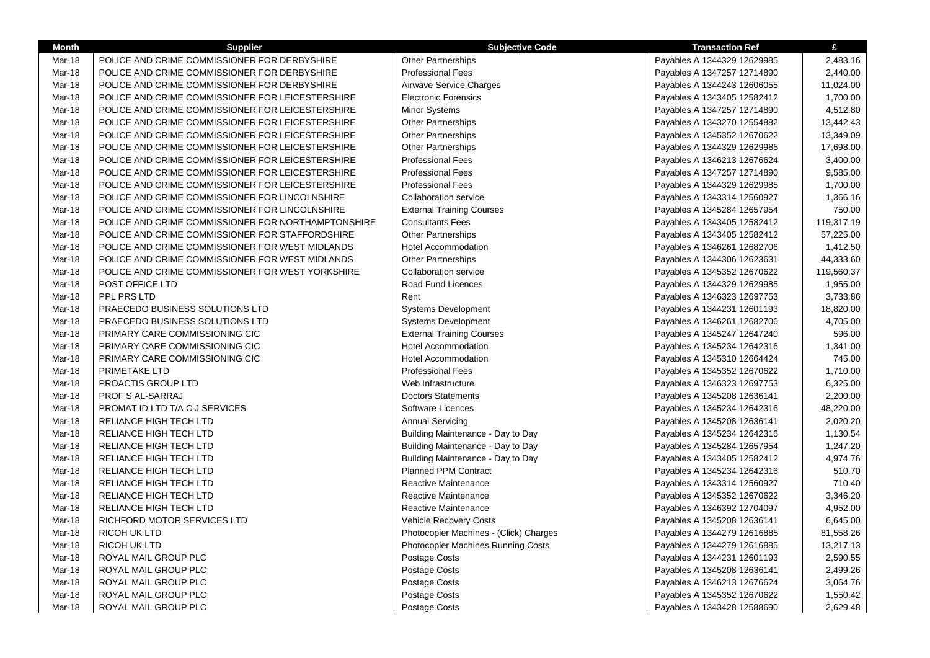| <b>Month</b> | <b>Supplier</b>                                    | <b>Subjective Code</b>                    | <b>Transaction Ref</b>      | £          |
|--------------|----------------------------------------------------|-------------------------------------------|-----------------------------|------------|
| Mar-18       | POLICE AND CRIME COMMISSIONER FOR DERBYSHIRE       | <b>Other Partnerships</b>                 | Payables A 1344329 12629985 | 2,483.16   |
| Mar-18       | POLICE AND CRIME COMMISSIONER FOR DERBYSHIRE       | <b>Professional Fees</b>                  | Payables A 1347257 12714890 | 2,440.00   |
| Mar-18       | POLICE AND CRIME COMMISSIONER FOR DERBYSHIRE       | Airwave Service Charges                   | Payables A 1344243 12606055 | 11,024.00  |
| Mar-18       | POLICE AND CRIME COMMISSIONER FOR LEICESTERSHIRE   | <b>Electronic Forensics</b>               | Payables A 1343405 12582412 | 1,700.00   |
| Mar-18       | POLICE AND CRIME COMMISSIONER FOR LEICESTERSHIRE   | <b>Minor Systems</b>                      | Payables A 1347257 12714890 | 4,512.80   |
| Mar-18       | POLICE AND CRIME COMMISSIONER FOR LEICESTERSHIRE   | <b>Other Partnerships</b>                 | Payables A 1343270 12554882 | 13,442.43  |
| Mar-18       | POLICE AND CRIME COMMISSIONER FOR LEICESTERSHIRE   | Other Partnerships                        | Payables A 1345352 12670622 | 13,349.09  |
| Mar-18       | POLICE AND CRIME COMMISSIONER FOR LEICESTERSHIRE   | <b>Other Partnerships</b>                 | Payables A 1344329 12629985 | 17,698.00  |
| Mar-18       | POLICE AND CRIME COMMISSIONER FOR LEICESTERSHIRE   | <b>Professional Fees</b>                  | Payables A 1346213 12676624 | 3,400.00   |
| Mar-18       | POLICE AND CRIME COMMISSIONER FOR LEICESTERSHIRE   | <b>Professional Fees</b>                  | Payables A 1347257 12714890 | 9,585.00   |
| Mar-18       | POLICE AND CRIME COMMISSIONER FOR LEICESTERSHIRE   | <b>Professional Fees</b>                  | Payables A 1344329 12629985 | 1,700.00   |
| Mar-18       | POLICE AND CRIME COMMISSIONER FOR LINCOLNSHIRE     | <b>Collaboration service</b>              | Payables A 1343314 12560927 | 1,366.16   |
| Mar-18       | POLICE AND CRIME COMMISSIONER FOR LINCOLNSHIRE     | <b>External Training Courses</b>          | Payables A 1345284 12657954 | 750.00     |
| Mar-18       | POLICE AND CRIME COMMISSIONER FOR NORTHAMPTONSHIRE | <b>Consultants Fees</b>                   | Payables A 1343405 12582412 | 119,317.19 |
| Mar-18       | POLICE AND CRIME COMMISSIONER FOR STAFFORDSHIRE    | Other Partnerships                        | Payables A 1343405 12582412 | 57,225.00  |
| Mar-18       | POLICE AND CRIME COMMISSIONER FOR WEST MIDLANDS    | <b>Hotel Accommodation</b>                | Payables A 1346261 12682706 | 1,412.50   |
| Mar-18       | POLICE AND CRIME COMMISSIONER FOR WEST MIDLANDS    | <b>Other Partnerships</b>                 | Payables A 1344306 12623631 | 44,333.60  |
| Mar-18       | POLICE AND CRIME COMMISSIONER FOR WEST YORKSHIRE   | <b>Collaboration service</b>              | Payables A 1345352 12670622 | 119,560.37 |
| Mar-18       | POST OFFICE LTD                                    | Road Fund Licences                        | Payables A 1344329 12629985 | 1,955.00   |
| Mar-18       | PPL PRS LTD                                        | Rent                                      | Payables A 1346323 12697753 | 3,733.86   |
| Mar-18       | PRAECEDO BUSINESS SOLUTIONS LTD                    | Systems Development                       | Payables A 1344231 12601193 | 18,820.00  |
| Mar-18       | PRAECEDO BUSINESS SOLUTIONS LTD                    | <b>Systems Development</b>                | Payables A 1346261 12682706 | 4,705.00   |
| Mar-18       | PRIMARY CARE COMMISSIONING CIC                     | <b>External Training Courses</b>          | Payables A 1345247 12647240 | 596.00     |
| Mar-18       | PRIMARY CARE COMMISSIONING CIC                     | <b>Hotel Accommodation</b>                | Payables A 1345234 12642316 | 1,341.00   |
| Mar-18       | PRIMARY CARE COMMISSIONING CIC                     | <b>Hotel Accommodation</b>                | Payables A 1345310 12664424 | 745.00     |
| Mar-18       | PRIMETAKE LTD                                      | <b>Professional Fees</b>                  | Payables A 1345352 12670622 | 1,710.00   |
| Mar-18       | PROACTIS GROUP LTD                                 | Web Infrastructure                        | Payables A 1346323 12697753 | 6,325.00   |
| Mar-18       | PROF S AL-SARRAJ                                   | <b>Doctors Statements</b>                 | Payables A 1345208 12636141 | 2,200.00   |
| Mar-18       | PROMAT ID LTD T/A C J SERVICES                     | Software Licences                         | Payables A 1345234 12642316 | 48,220.00  |
| Mar-18       | RELIANCE HIGH TECH LTD                             | <b>Annual Servicing</b>                   | Payables A 1345208 12636141 | 2,020.20   |
| Mar-18       | RELIANCE HIGH TECH LTD                             | Building Maintenance - Day to Day         | Payables A 1345234 12642316 | 1,130.54   |
| Mar-18       | RELIANCE HIGH TECH LTD                             | Building Maintenance - Day to Day         | Payables A 1345284 12657954 | 1,247.20   |
| Mar-18       | RELIANCE HIGH TECH LTD                             | Building Maintenance - Day to Day         | Payables A 1343405 12582412 | 4,974.76   |
| Mar-18       | RELIANCE HIGH TECH LTD                             | <b>Planned PPM Contract</b>               | Payables A 1345234 12642316 | 510.70     |
| Mar-18       | RELIANCE HIGH TECH LTD                             | <b>Reactive Maintenance</b>               | Payables A 1343314 12560927 | 710.40     |
| Mar-18       | RELIANCE HIGH TECH LTD                             | Reactive Maintenance                      | Payables A 1345352 12670622 | 3,346.20   |
| Mar-18       | RELIANCE HIGH TECH LTD                             | Reactive Maintenance                      | Payables A 1346392 12704097 | 4,952.00   |
| Mar-18       | RICHFORD MOTOR SERVICES LTD                        | <b>Vehicle Recovery Costs</b>             | Payables A 1345208 12636141 | 6,645.00   |
| Mar-18       | <b>RICOH UK LTD</b>                                | Photocopier Machines - (Click) Charges    | Payables A 1344279 12616885 | 81,558.26  |
| Mar-18       | <b>RICOH UK LTD</b>                                | <b>Photocopier Machines Running Costs</b> | Payables A 1344279 12616885 | 13,217.13  |
| Mar-18       | ROYAL MAIL GROUP PLC                               | Postage Costs                             | Payables A 1344231 12601193 | 2,590.55   |
| Mar-18       | ROYAL MAIL GROUP PLC                               | Postage Costs                             | Payables A 1345208 12636141 | 2,499.26   |
| Mar-18       | ROYAL MAIL GROUP PLC                               | Postage Costs                             | Payables A 1346213 12676624 | 3,064.76   |
| Mar-18       | ROYAL MAIL GROUP PLC                               | Postage Costs                             | Payables A 1345352 12670622 | 1,550.42   |
| Mar-18       | ROYAL MAIL GROUP PLC                               | Postage Costs                             | Payables A 1343428 12588690 | 2,629.48   |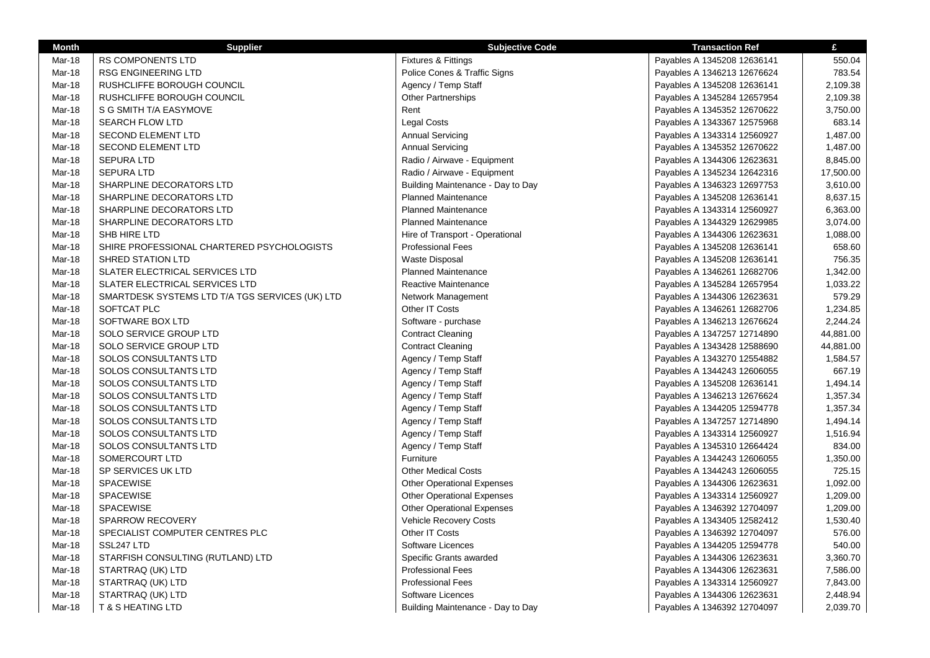| <b>Month</b> | <b>Supplier</b>                                 | <b>Subjective Code</b>            | <b>Transaction Ref</b>      | £         |
|--------------|-------------------------------------------------|-----------------------------------|-----------------------------|-----------|
| Mar-18       | <b>RS COMPONENTS LTD</b>                        | Fixtures & Fittings               | Payables A 1345208 12636141 | 550.04    |
| Mar-18       | <b>RSG ENGINEERING LTD</b>                      | Police Cones & Traffic Signs      | Payables A 1346213 12676624 | 783.54    |
| Mar-18       | RUSHCLIFFE BOROUGH COUNCIL                      | Agency / Temp Staff               | Payables A 1345208 12636141 | 2,109.38  |
| Mar-18       | RUSHCLIFFE BOROUGH COUNCIL                      | <b>Other Partnerships</b>         | Payables A 1345284 12657954 | 2,109.38  |
| Mar-18       | S G SMITH T/A EASYMOVE                          | Rent                              | Payables A 1345352 12670622 | 3,750.00  |
| Mar-18       | <b>SEARCH FLOW LTD</b>                          | <b>Legal Costs</b>                | Payables A 1343367 12575968 | 683.14    |
| Mar-18       | <b>SECOND ELEMENT LTD</b>                       | <b>Annual Servicing</b>           | Payables A 1343314 12560927 | 1,487.00  |
| Mar-18       | SECOND ELEMENT LTD                              | <b>Annual Servicing</b>           | Payables A 1345352 12670622 | 1,487.00  |
| Mar-18       | <b>SEPURA LTD</b>                               | Radio / Airwave - Equipment       | Payables A 1344306 12623631 | 8,845.00  |
| Mar-18       | <b>SEPURA LTD</b>                               | Radio / Airwave - Equipment       | Payables A 1345234 12642316 | 17,500.00 |
| Mar-18       | SHARPLINE DECORATORS LTD                        | Building Maintenance - Day to Day | Payables A 1346323 12697753 | 3,610.00  |
| Mar-18       | SHARPLINE DECORATORS LTD                        | <b>Planned Maintenance</b>        | Payables A 1345208 12636141 | 8,637.15  |
| Mar-18       | SHARPLINE DECORATORS LTD                        | <b>Planned Maintenance</b>        | Payables A 1343314 12560927 | 6,363.00  |
| Mar-18       | SHARPLINE DECORATORS LTD                        | <b>Planned Maintenance</b>        | Payables A 1344329 12629985 | 3,074.00  |
| Mar-18       | SHB HIRE LTD                                    | Hire of Transport - Operational   | Payables A 1344306 12623631 | 1,088.00  |
| Mar-18       | SHIRE PROFESSIONAL CHARTERED PSYCHOLOGISTS      | <b>Professional Fees</b>          | Payables A 1345208 12636141 | 658.60    |
| Mar-18       | <b>SHRED STATION LTD</b>                        | <b>Waste Disposal</b>             | Payables A 1345208 12636141 | 756.35    |
| Mar-18       | SLATER ELECTRICAL SERVICES LTD                  | <b>Planned Maintenance</b>        | Payables A 1346261 12682706 | 1,342.00  |
| Mar-18       | SLATER ELECTRICAL SERVICES LTD                  | Reactive Maintenance              | Payables A 1345284 12657954 | 1,033.22  |
| Mar-18       | SMARTDESK SYSTEMS LTD T/A TGS SERVICES (UK) LTD | Network Management                | Payables A 1344306 12623631 | 579.29    |
| Mar-18       | SOFTCAT PLC                                     | Other IT Costs                    | Payables A 1346261 12682706 | 1,234.85  |
| Mar-18       | SOFTWARE BOX LTD                                | Software - purchase               | Payables A 1346213 12676624 | 2,244.24  |
| Mar-18       | SOLO SERVICE GROUP LTD                          | <b>Contract Cleaning</b>          | Payables A 1347257 12714890 | 44,881.00 |
| Mar-18       | SOLO SERVICE GROUP LTD                          | <b>Contract Cleaning</b>          | Payables A 1343428 12588690 | 44,881.00 |
| Mar-18       | SOLOS CONSULTANTS LTD                           | Agency / Temp Staff               | Payables A 1343270 12554882 | 1,584.57  |
| Mar-18       | SOLOS CONSULTANTS LTD                           | Agency / Temp Staff               | Payables A 1344243 12606055 | 667.19    |
| Mar-18       | <b>SOLOS CONSULTANTS LTD</b>                    | Agency / Temp Staff               | Payables A 1345208 12636141 | 1,494.14  |
| Mar-18       | SOLOS CONSULTANTS LTD                           | Agency / Temp Staff               | Payables A 1346213 12676624 | 1,357.34  |
| Mar-18       | SOLOS CONSULTANTS LTD                           | Agency / Temp Staff               | Payables A 1344205 12594778 | 1,357.34  |
| Mar-18       | SOLOS CONSULTANTS LTD                           | Agency / Temp Staff               | Payables A 1347257 12714890 | 1,494.14  |
| Mar-18       | SOLOS CONSULTANTS LTD                           | Agency / Temp Staff               | Payables A 1343314 12560927 | 1,516.94  |
| Mar-18       | SOLOS CONSULTANTS LTD                           | Agency / Temp Staff               | Payables A 1345310 12664424 | 834.00    |
| Mar-18       | SOMERCOURT LTD                                  | Furniture                         | Payables A 1344243 12606055 | 1,350.00  |
| Mar-18       | SP SERVICES UK LTD                              | <b>Other Medical Costs</b>        | Payables A 1344243 12606055 | 725.15    |
| Mar-18       | SPACEWISE                                       | <b>Other Operational Expenses</b> | Payables A 1344306 12623631 | 1,092.00  |
| Mar-18       | <b>SPACEWISE</b>                                | <b>Other Operational Expenses</b> | Payables A 1343314 12560927 | 1,209.00  |
| Mar-18       | <b>SPACEWISE</b>                                | <b>Other Operational Expenses</b> | Payables A 1346392 12704097 | 1,209.00  |
| Mar-18       | SPARROW RECOVERY                                | Vehicle Recovery Costs            | Payables A 1343405 12582412 | 1,530.40  |
| Mar-18       | SPECIALIST COMPUTER CENTRES PLC                 | Other IT Costs                    | Payables A 1346392 12704097 | 576.00    |
| Mar-18       | SSL247 LTD                                      | Software Licences                 | Payables A 1344205 12594778 | 540.00    |
| Mar-18       | STARFISH CONSULTING (RUTLAND) LTD               | Specific Grants awarded           | Payables A 1344306 12623631 | 3,360.70  |
| Mar-18       | STARTRAQ (UK) LTD                               | <b>Professional Fees</b>          | Payables A 1344306 12623631 | 7,586.00  |
| Mar-18       | STARTRAQ (UK) LTD                               | <b>Professional Fees</b>          | Payables A 1343314 12560927 | 7,843.00  |
| Mar-18       | STARTRAQ (UK) LTD                               | Software Licences                 | Payables A 1344306 12623631 | 2,448.94  |
| Mar-18       | <b>T &amp; S HEATING LTD</b>                    | Building Maintenance - Day to Day | Payables A 1346392 12704097 | 2,039.70  |